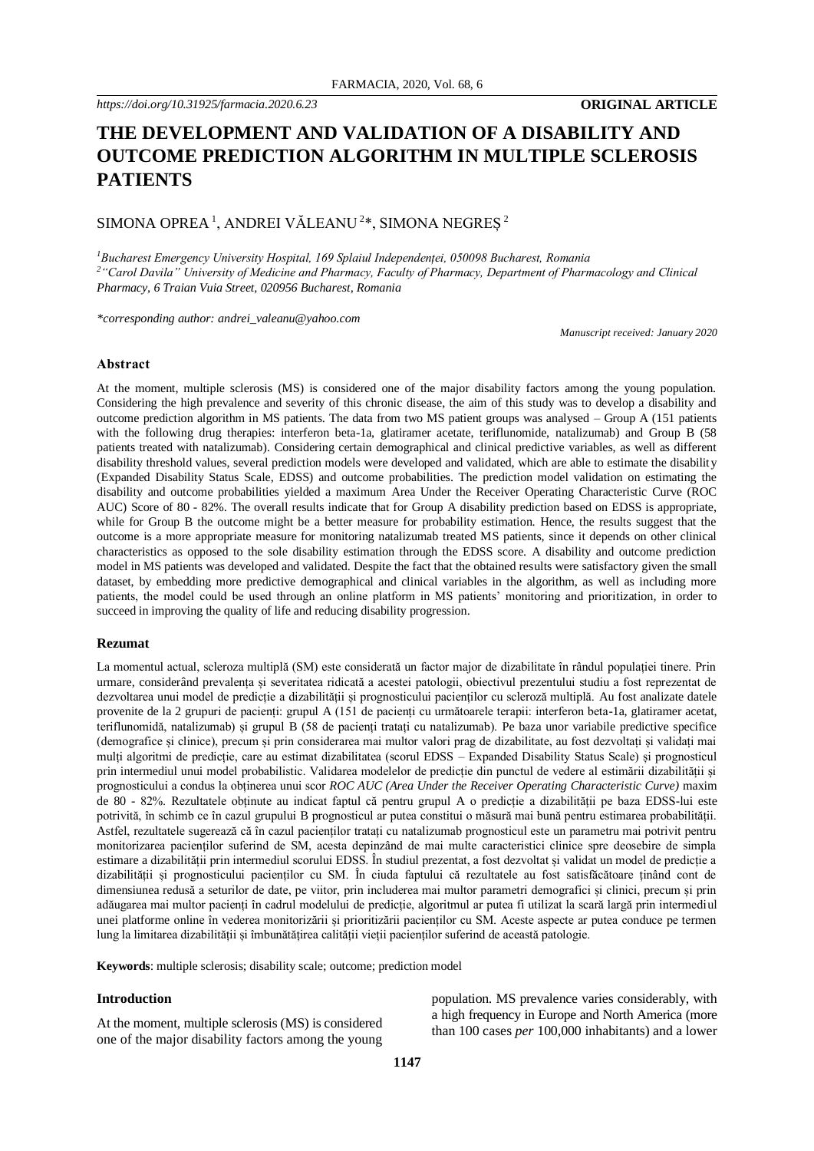# **THE DEVELOPMENT AND VALIDATION OF A DISABILITY AND OUTCOME PREDICTION ALGORITHM IN MULTIPLE SCLEROSIS PATIENTS**

SIMONA OPREA  $^1$ , ANDREI VĂLEANU  $^{2*}$ , SIMONA NEGREȘ  $^2$ 

*<sup>1</sup>Bucharest Emergency University Hospital, 169 Splaiul Independenței, 050098 Bucharest, Romania <sup>2</sup>"Carol Davila" University of Medicine and Pharmacy, Faculty of Pharmacy, Department of Pharmacology and Clinical Pharmacy, 6 Traian Vuia Street, 020956 Bucharest, Romania*

*\*corresponding author: andrei\_valeanu@yahoo.com*

*Manuscript received: January 2020*

#### **Abstract**

At the moment, multiple sclerosis (MS) is considered one of the major disability factors among the young population. Considering the high prevalence and severity of this chronic disease, the aim of this study was to develop a disability and outcome prediction algorithm in MS patients. The data from two MS patient groups was analysed – Group A (151 patients with the following drug therapies: interferon beta-1a, glatiramer acetate, teriflunomide, natalizumab) and Group B (58 patients treated with natalizumab). Considering certain demographical and clinical predictive variables, as well as different disability threshold values, several prediction models were developed and validated, which are able to estimate the disability (Expanded Disability Status Scale, EDSS) and outcome probabilities. The prediction model validation on estimating the disability and outcome probabilities yielded a maximum Area Under the Receiver Operating Characteristic Curve (ROC AUC) Score of 80 - 82%. The overall results indicate that for Group A disability prediction based on EDSS is appropriate, while for Group B the outcome might be a better measure for probability estimation. Hence, the results suggest that the outcome is a more appropriate measure for monitoring natalizumab treated MS patients, since it depends on other clinical characteristics as opposed to the sole disability estimation through the EDSS score. A disability and outcome prediction model in MS patients was developed and validated. Despite the fact that the obtained results were satisfactory given the small dataset, by embedding more predictive demographical and clinical variables in the algorithm, as well as including more patients, the model could be used through an online platform in MS patients' monitoring and prioritization, in order to succeed in improving the quality of life and reducing disability progression.

#### **Rezumat**

La momentul actual, scleroza multiplă (SM) este considerată un factor major de dizabilitate în rândul populației tinere. Prin urmare, considerând prevalența și severitatea ridicată a acestei patologii, obiectivul prezentului studiu a fost reprezentat de dezvoltarea unui model de predicție a dizabilității și prognosticului pacienților cu scleroză multiplă. Au fost analizate datele provenite de la 2 grupuri de pacienți: grupul A (151 de pacienți cu următoarele terapii: interferon beta-1a, glatiramer acetat, teriflunomidă, natalizumab) și grupul B (58 de pacienți tratați cu natalizumab). Pe baza unor variabile predictive specifice (demografice și clinice), precum și prin considerarea mai multor valori prag de dizabilitate, au fost dezvoltați și validați mai mulți algoritmi de predicție, care au estimat dizabilitatea (scorul EDSS – Expanded Disability Status Scale) și prognosticul prin intermediul unui model probabilistic. Validarea modelelor de predicție din punctul de vedere al estimării dizabilității și prognosticului a condus la obținerea unui scor *ROC AUC (Area Under the Receiver Operating Characteristic Curve)* maxim de 80 - 82%. Rezultatele obținute au indicat faptul că pentru grupul A o predicție a dizabilității pe baza EDSS-lui este potrivită, în schimb ce în cazul grupului B prognosticul ar putea constitui o măsură mai bună pentru estimarea probabilității. Astfel, rezultatele sugerează că în cazul pacienților tratați cu natalizumab prognosticul este un parametru mai potrivit pentru monitorizarea pacienților suferind de SM, acesta depinzând de mai multe caracteristici clinice spre deosebire de simpla estimare a dizabilității prin intermediul scorului EDSS. În studiul prezentat, a fost dezvoltat și validat un model de predicție a dizabilității și prognosticului pacienților cu SM. În ciuda faptului că rezultatele au fost satisfăcătoare ținând cont de dimensiunea redusă a seturilor de date, pe viitor, prin includerea mai multor parametri demografici și clinici, precum și prin adăugarea mai multor pacienți în cadrul modelului de predicție, algoritmul ar putea fi utilizat la scară largă prin intermediul unei platforme online în vederea monitorizării și prioritizării pacienților cu SM. Aceste aspecte ar putea conduce pe termen lung la limitarea dizabilității și îmbunătățirea calității vieții pacienților suferind de această patologie.

**Keywords**: multiple sclerosis; disability scale; outcome; prediction model

#### **Introduction**

At the moment, multiple sclerosis (MS) is considered one of the major disability factors among the young population. MS prevalence varies considerably, with a high frequency in Europe and North America (more than 100 cases *per* 100,000 inhabitants) and a lower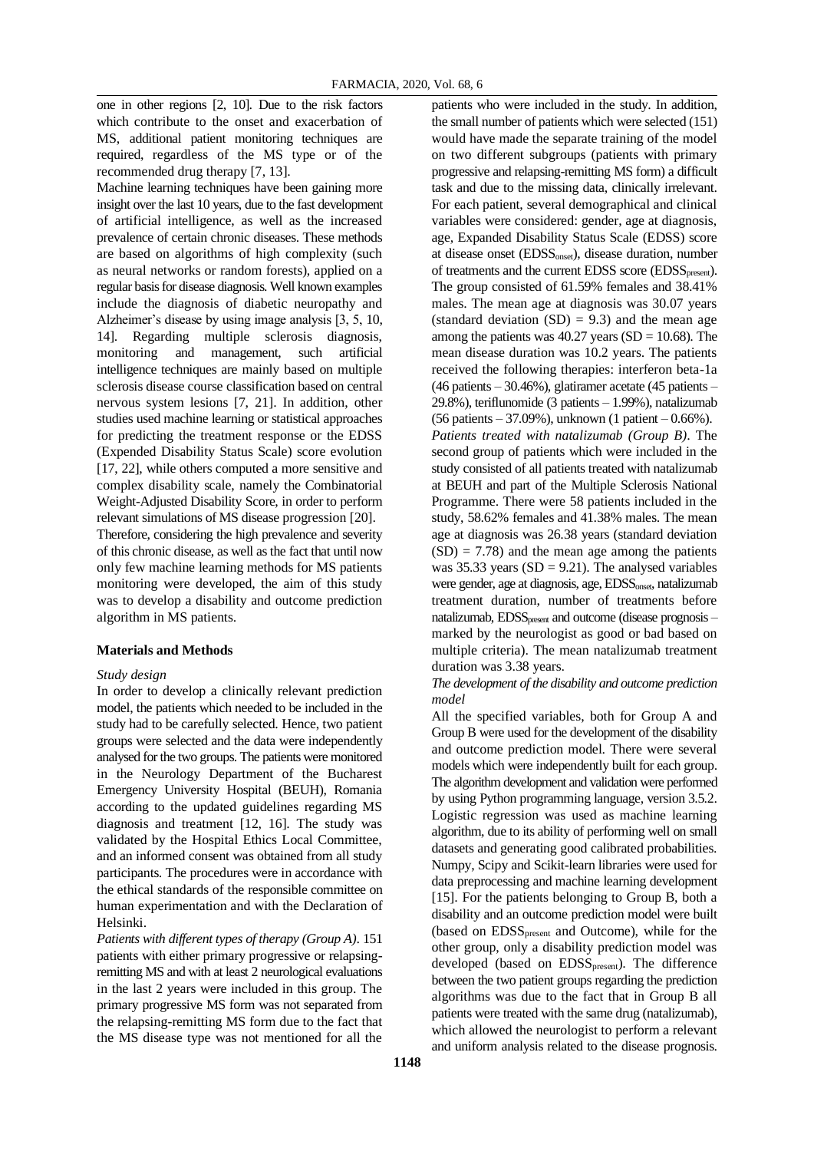one in other regions [2, 10]. Due to the risk factors which contribute to the onset and exacerbation of MS, additional patient monitoring techniques are required, regardless of the MS type or of the recommended drug therapy [7, 13].

Machine learning techniques have been gaining more insight over the last 10 years, due to the fast development of artificial intelligence, as well as the increased prevalence of certain chronic diseases. These methods are based on algorithms of high complexity (such as neural networks or random forests), applied on a regular basis for disease diagnosis. Well known examples include the diagnosis of diabetic neuropathy and Alzheimer's disease by using image analysis [3, 5, 10, 14]. Regarding multiple sclerosis diagnosis, monitoring and management, such artificial intelligence techniques are mainly based on multiple sclerosis disease course classification based on central nervous system lesions [7, 21]. In addition, other studies used machine learning or statistical approaches for predicting the treatment response or the EDSS (Expended Disability Status Scale) score evolution [17, 22], while others computed a more sensitive and complex disability scale, namely the Combinatorial Weight-Adjusted Disability Score, in order to perform relevant simulations of MS disease progression [20]. Therefore, considering the high prevalence and severity of this chronic disease, as well as the fact that until now

only few machine learning methods for MS patients monitoring were developed, the aim of this study was to develop a disability and outcome prediction algorithm in MS patients.

#### **Materials and Methods**

#### *Study design*

In order to develop a clinically relevant prediction model, the patients which needed to be included in the study had to be carefully selected. Hence, two patient groups were selected and the data were independently analysed for the two groups. The patients were monitored in the Neurology Department of the Bucharest Emergency University Hospital (BEUH), Romania according to the updated guidelines regarding MS diagnosis and treatment [12, 16]. The study was validated by the Hospital Ethics Local Committee, and an informed consent was obtained from all study participants. The procedures were in accordance with the ethical standards of the responsible committee on human experimentation and with the Declaration of Helsinki.

*Patients with different types of therapy (Group A)*. 151 patients with either primary progressive or relapsingremitting MS and with at least 2 neurological evaluations in the last 2 years were included in this group. The primary progressive MS form was not separated from the relapsing-remitting MS form due to the fact that the MS disease type was not mentioned for all the

patients who were included in the study. In addition, the small number of patients which were selected (151) would have made the separate training of the model on two different subgroups (patients with primary progressive and relapsing-remitting MS form) a difficult task and due to the missing data, clinically irrelevant. For each patient, several demographical and clinical variables were considered: gender, age at diagnosis, age, Expanded Disability Status Scale (EDSS) score at disease onset (EDSSonset), disease duration, number of treatments and the current EDSS score (EDSS<sub>present</sub>). The group consisted of 61.59% females and 38.41% males. The mean age at diagnosis was 30.07 years (standard deviation  $(SD) = 9.3$ ) and the mean age among the patients was  $40.27$  years (SD = 10.68). The mean disease duration was 10.2 years. The patients received the following therapies: interferon beta-1a (46 patients – 30.46%), glatiramer acetate (45 patients – 29.8%), teriflunomide (3 patients – 1.99%), natalizumab (56 patients – 37.09%), unknown (1 patient – 0.66%). *Patients treated with natalizumab (Group B)*. The second group of patients which were included in the study consisted of all patients treated with natalizumab at BEUH and part of the Multiple Sclerosis National Programme. There were 58 patients included in the study, 58.62% females and 41.38% males. The mean age at diagnosis was 26.38 years (standard deviation  $(SD) = 7.78$ ) and the mean age among the patients was 35.33 years ( $SD = 9.21$ ). The analysed variables were gender, age at diagnosis, age, EDSS<sub>onset</sub>, natalizumab treatment duration, number of treatments before natalizumab, EDSS<sub>present</sub> and outcome (disease prognosis – marked by the neurologist as good or bad based on multiple criteria). The mean natalizumab treatment duration was 3.38 years.

*The development of the disability and outcome prediction model*

All the specified variables, both for Group A and Group B were used for the development of the disability and outcome prediction model. There were several models which were independently built for each group. The algorithm development and validation were performed by using Python programming language, version 3.5.2. Logistic regression was used as machine learning algorithm, due to its ability of performing well on small datasets and generating good calibrated probabilities. Numpy, Scipy and Scikit-learn libraries were used for data preprocessing and machine learning development [15]. For the patients belonging to Group B, both a disability and an outcome prediction model were built (based on EDSS<sub>present</sub> and Outcome), while for the other group, only a disability prediction model was developed (based on EDSS<sub>present</sub>). The difference between the two patient groups regarding the prediction algorithms was due to the fact that in Group B all patients were treated with the same drug (natalizumab), which allowed the neurologist to perform a relevant and uniform analysis related to the disease prognosis.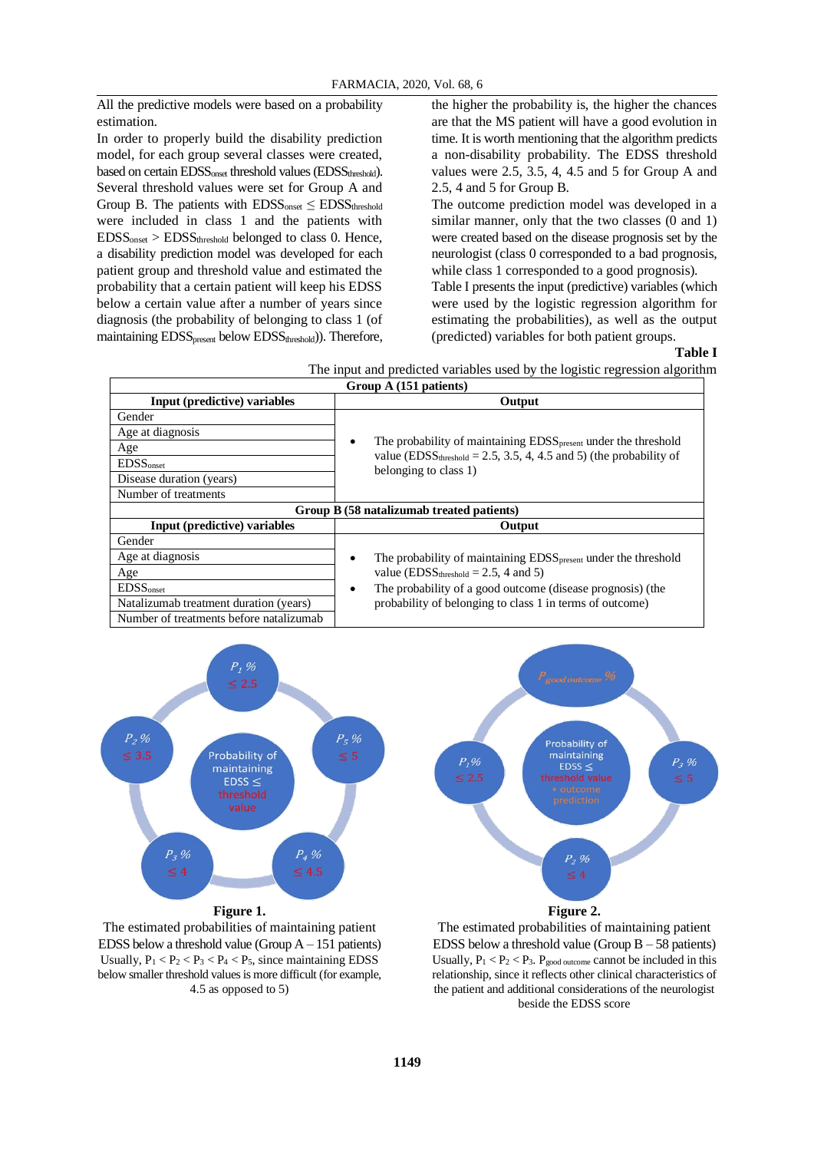All the predictive models were based on a probability estimation.

In order to properly build the disability prediction model, for each group several classes were created, based on certain EDSS<sub>onset</sub> threshold values (EDSS<sub>threshold</sub>). Several threshold values were set for Group A and Group B. The patients with  $EDSS_{onset} \leq EDSS_{threshold}$ were included in class 1 and the patients with  $EDSS<sub>onset</sub> > EDSS<sub>threshold</sub>$  belonged to class 0. Hence, a disability prediction model was developed for each patient group and threshold value and estimated the probability that a certain patient will keep his EDSS below a certain value after a number of years since diagnosis (the probability of belonging to class 1 (of maintaining EDSS<sub>present</sub> below EDSS<sub>threshold</sub>)). Therefore, the higher the probability is, the higher the chances are that the MS patient will have a good evolution in time. It is worth mentioning that the algorithm predicts a non-disability probability. The EDSS threshold values were 2.5, 3.5, 4, 4.5 and 5 for Group A and 2.5, 4 and 5 for Group B.

The outcome prediction model was developed in a similar manner, only that the two classes  $(0 \text{ and } 1)$ were created based on the disease prognosis set by the neurologist (class 0 corresponded to a bad prognosis, while class 1 corresponded to a good prognosis).

Table I presents the input (predictive) variables (which were used by the logistic regression algorithm for estimating the probabilities), as well as the output (predicted) variables for both patient groups.

#### **Table I**

The input and predicted variables used by the logistic regression algorithm

| Group A (151 patients)                 |                                                                                                         |  |  |  |  |
|----------------------------------------|---------------------------------------------------------------------------------------------------------|--|--|--|--|
| Input (predictive) variables           | Output                                                                                                  |  |  |  |  |
| Gender                                 |                                                                                                         |  |  |  |  |
| Age at diagnosis                       |                                                                                                         |  |  |  |  |
| Age                                    | The probability of maintaining EDSS <sub>present</sub> under the threshold<br>٠                         |  |  |  |  |
| <b>EDSS</b> <sub>onset</sub>           | value (EDSS <sub>threshold</sub> = 2.5, 3.5, 4, 4.5 and 5) (the probability of<br>belonging to class 1) |  |  |  |  |
| Disease duration (years)               |                                                                                                         |  |  |  |  |
| Number of treatments                   |                                                                                                         |  |  |  |  |
|                                        | Group B (58 natalizumab treated patients)                                                               |  |  |  |  |
| Input (predictive) variables           | Output                                                                                                  |  |  |  |  |
| Gender                                 |                                                                                                         |  |  |  |  |
| Age at diagnosis                       | The probability of maintaining EDSS <sub>present</sub> under the threshold<br>$\bullet$                 |  |  |  |  |
| Age                                    | value (EDSS <sub>threshold</sub> = 2.5, 4 and 5)                                                        |  |  |  |  |
| <b>EDSS</b> <sub>onset</sub>           | The probability of a good outcome (disease prognosis) (the<br>$\bullet$                                 |  |  |  |  |
| Natalizumab treatment duration (years) | probability of belonging to class 1 in terms of outcome)                                                |  |  |  |  |
|                                        |                                                                                                         |  |  |  |  |



The estimated probabilities of maintaining patient EDSS below a threshold value (Group  $A - 151$  patients) Usually,  $P_1 < P_2 < P_3 < P_4 < P_5$ , since maintaining EDSS below smaller threshold values is more difficult (for example, 4.5 as opposed to 5)



The estimated probabilities of maintaining patient EDSS below a threshold value (Group  $B - 58$  patients) Usually,  $P_1 < P_2 < P_3$ .  $P_{good outcome}$  cannot be included in this relationship, since it reflects other clinical characteristics of the patient and additional considerations of the neurologist beside the EDSS score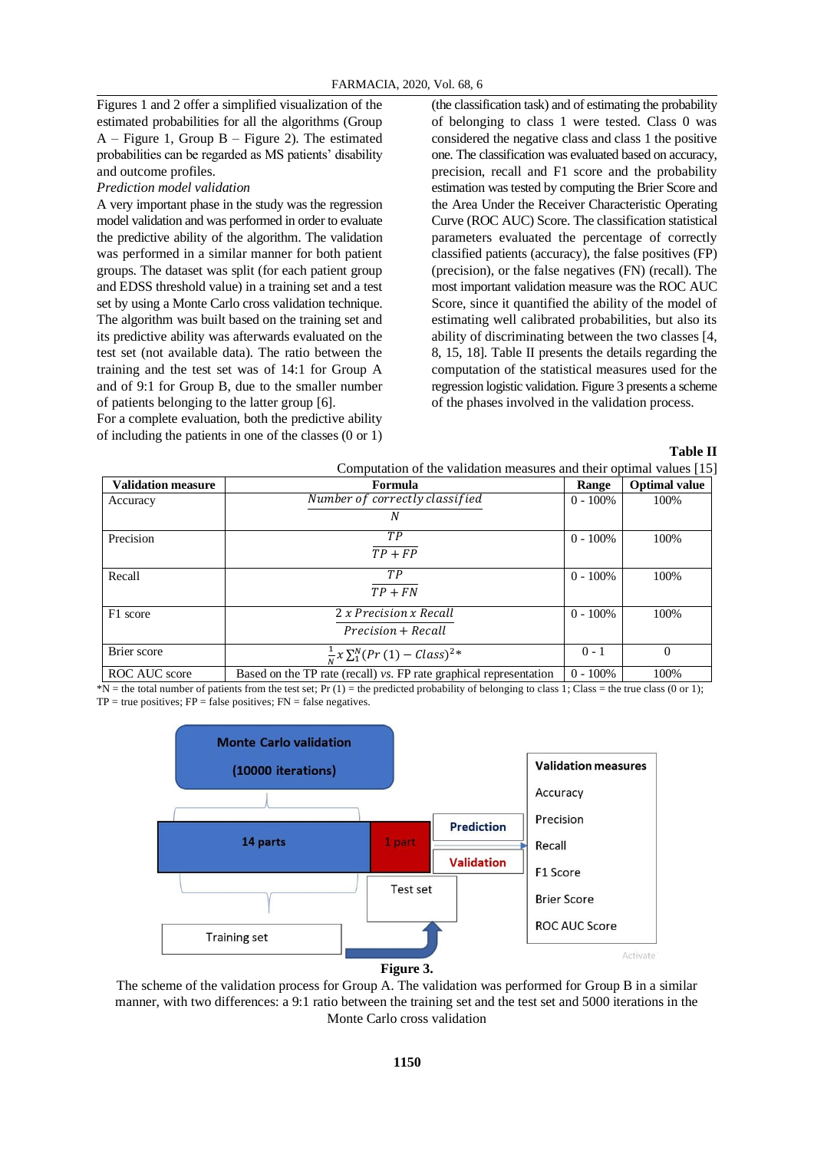Figures 1 and 2 offer a simplified visualization of the estimated probabilities for all the algorithms (Group  $A$  – Figure 1, Group B – Figure 2). The estimated probabilities can be regarded as MS patients' disability and outcome profiles.

#### *Prediction model validation*

A very important phase in the study was the regression model validation and was performed in order to evaluate the predictive ability of the algorithm. The validation was performed in a similar manner for both patient groups. The dataset was split (for each patient group and EDSS threshold value) in a training set and a test set by using a Monte Carlo cross validation technique. The algorithm was built based on the training set and its predictive ability was afterwards evaluated on the test set (not available data). The ratio between the training and the test set was of 14:1 for Group A and of 9:1 for Group B, due to the smaller number of patients belonging to the latter group [6].

For a complete evaluation, both the predictive ability of including the patients in one of the classes (0 or 1) (the classification task) and of estimating the probability of belonging to class 1 were tested. Class 0 was considered the negative class and class 1 the positive one. The classification was evaluated based on accuracy, precision, recall and F1 score and the probability estimation was tested by computing the Brier Score and the Area Under the Receiver Characteristic Operating Curve (ROC AUC) Score. The classification statistical parameters evaluated the percentage of correctly classified patients (accuracy), the false positives (FP) (precision), or the false negatives (FN) (recall). The most important validation measure was the ROC AUC Score, since it quantified the ability of the model of estimating well calibrated probabilities, but also its ability of discriminating between the two classes [4, 8, 15, 18]. Table II presents the details regarding the computation of the statistical measures used for the regression logistic validation. Figure 3 presents a scheme of the phases involved in the validation process.

**Table II**

| Computation of the validation measures and their optimal values [15] |                                                                    |             |                      |  |  |
|----------------------------------------------------------------------|--------------------------------------------------------------------|-------------|----------------------|--|--|
| <b>Validation measure</b>                                            | Formula                                                            | Range       | <b>Optimal value</b> |  |  |
| Accuracy                                                             | Number of correctly classified                                     | $0 - 100\%$ | 100%                 |  |  |
|                                                                      | N                                                                  |             |                      |  |  |
| Precision                                                            | TР                                                                 | $0 - 100\%$ | 100%                 |  |  |
|                                                                      | $TP + FP$                                                          |             |                      |  |  |
| Recall                                                               | TР                                                                 | $0 - 100\%$ | 100%                 |  |  |
|                                                                      | $TP + FN$                                                          |             |                      |  |  |
| F1 score                                                             | 2 x Precision x Recall                                             | $0 - 100\%$ | 100%                 |  |  |
|                                                                      | Precision + Recall                                                 |             |                      |  |  |
| Brier score                                                          | $\frac{1}{N} \chi \sum_{1}^{N} (Pr(1) - Class)^{2*}$               | $0 - 1$     | $\Omega$             |  |  |
| ROC AUC score                                                        | Based on the TP rate (recall) vs. FP rate graphical representation | $0 - 100\%$ | 100%                 |  |  |

 $N =$  the total number of patients from the test set; Pr (1) = the predicted probability of belonging to class 1; Class = the true class (0 or 1);  $TP = true$  positives;  $FP = false$  positives;  $FN = false$  negatives.





The scheme of the validation process for Group A. The validation was performed for Group B in a similar manner, with two differences: a 9:1 ratio between the training set and the test set and 5000 iterations in the Monte Carlo cross validation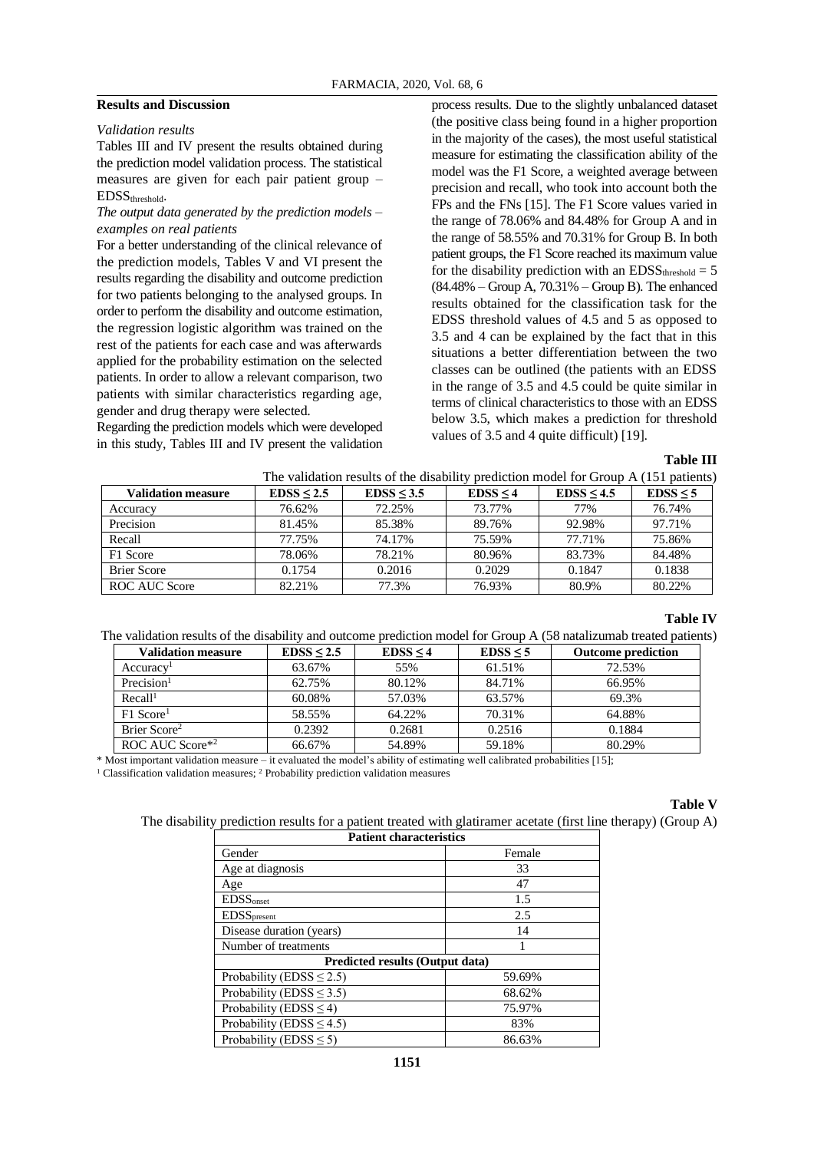### **Results and Discussion**

#### *Validation results*

 $\Gamma$ 

Tables III and IV present the results obtained during the prediction model validation process. The statistical measures are given for each pair patient group – EDSSthreshold.

# *The output data generated by the prediction models – examples on real patients*

For a better understanding of the clinical relevance of the prediction models, Tables V and VI present the results regarding the disability and outcome prediction for two patients belonging to the analysed groups. In order to perform the disability and outcome estimation, the regression logistic algorithm was trained on the rest of the patients for each case and was afterwards applied for the probability estimation on the selected patients. In order to allow a relevant comparison, two patients with similar characteristics regarding age, gender and drug therapy were selected.

Regarding the prediction models which were developed in this study, Tables III and IV present the validation

process results. Due to the slightly unbalanced dataset (the positive class being found in a higher proportion in the majority of the cases), the most useful statistical measure for estimating the classification ability of the model was the F1 Score, a weighted average between precision and recall, who took into account both the FPs and the FNs [15]. The F1 Score values varied in the range of 78.06% and 84.48% for Group A and in the range of 58.55% and 70.31% for Group B. In both patient groups, the F1 Score reached its maximum value for the disability prediction with an  $EDSS_{threshold} = 5$ (84.48% – Group A, 70.31% – Group B). The enhanced results obtained for the classification task for the EDSS threshold values of 4.5 and 5 as opposed to 3.5 and 4 can be explained by the fact that in this situations a better differentiation between the two classes can be outlined (the patients with an EDSS in the range of 3.5 and 4.5 could be quite similar in terms of clinical characteristics to those with an EDSS below 3.5, which makes a prediction for threshold values of 3.5 and 4 quite difficult) [19].

#### **Table III**

|                           |            | The validation results of the disability prediction model for Group A (151 patients) |          |            |          |
|---------------------------|------------|--------------------------------------------------------------------------------------|----------|------------|----------|
| <b>Validation measure</b> | EDSS < 2.5 | EDSS < 3.5                                                                           | EDSS < 4 | EDSS < 4.5 | EDSS < 5 |
| ruracv                    | 76.62%     | 72.25%                                                                               | 73.77%   | 77%        | 76.74%   |

| , anuauvn miasuri | <b>LDO</b> - 4.J | נים כמחד | <b>LDOO - T</b> | LDO - T.J | LUUU - J |
|-------------------|------------------|----------|-----------------|-----------|----------|
| Accuracy          | 76.62%           | 72.25%   | 73.77%          | 77%       | 76.74%   |
| Precision         | 81.45%           | 85.38%   | 89.76%          | 92.98%    | 97.71%   |
| Recall            | 77.75%           | 74.17%   | 75.59%          | 77.71%    | 75.86%   |
| F1 Score          | 78.06%           | 78.21%   | 80.96%          | 83.73%    | 84.48%   |
| Brier Score       | 0.1754           | 0.2016   | 0.2029          | 0.1847    | 0.1838   |
| ROC AUC Score     | 82.21%           | 77.3%    | 76.93%          | 80.9%     | 80.22%   |

## **Table IV**

The validation results of the disability and outcome prediction model for Group A (58 natalizumab treated patients)

| <b>Validation measure</b> | EDSS < 2.5 | EDSS < 4 | EDSS < 5 | <b>Outcome prediction</b> |
|---------------------------|------------|----------|----------|---------------------------|
| Accuracy <sup>1</sup>     | 63.67%     | 55%      | 61.51%   | 72.53%                    |
| Precision $1$             | 62.75%     | 80.12%   | 84.71%   | 66.95%                    |
| Recall <sup>1</sup>       | 60.08%     | 57.03%   | 63.57%   | 69.3%                     |
| $F1$ Score <sup>1</sup>   | 58.55%     | 64.22%   | 70.31%   | 64.88%                    |
| Brier Score <sup>2</sup>  | 0.2392     | 0.2681   | 0.2516   | 0.1884                    |
| ROC AUC Score*2           | 66.67%     | 54.89%   | 59.18%   | 80.29%                    |

\* Most important validation measure – it evaluated the model's ability of estimating well calibrated probabilities [15];

<sup>1</sup> Classification validation measures; <sup>2</sup> Probability prediction validation measures

# **Table V**

The disability prediction results for a patient treated with glatiramer acetate (first line therapy) (Group A)

| <b>Patient characteristics</b>         |        |  |  |  |
|----------------------------------------|--------|--|--|--|
| Gender                                 | Female |  |  |  |
| Age at diagnosis                       | 33     |  |  |  |
| Age                                    | 47     |  |  |  |
| <b>EDSS</b> onset                      | 1.5    |  |  |  |
| <b>EDSS</b> present                    | 2.5    |  |  |  |
| Disease duration (years)               | 14     |  |  |  |
| Number of treatments                   |        |  |  |  |
| <b>Predicted results (Output data)</b> |        |  |  |  |
| Probability (EDSS $\leq$ 2.5)          | 59.69% |  |  |  |
| Probability (EDSS $\leq$ 3.5)          | 68.62% |  |  |  |
| Probability (EDSS $\leq$ 4)            | 75.97% |  |  |  |
| Probability (EDSS $\leq$ 4.5)          | 83%    |  |  |  |
| Probability (EDSS $\leq$ 5)            | 86.63% |  |  |  |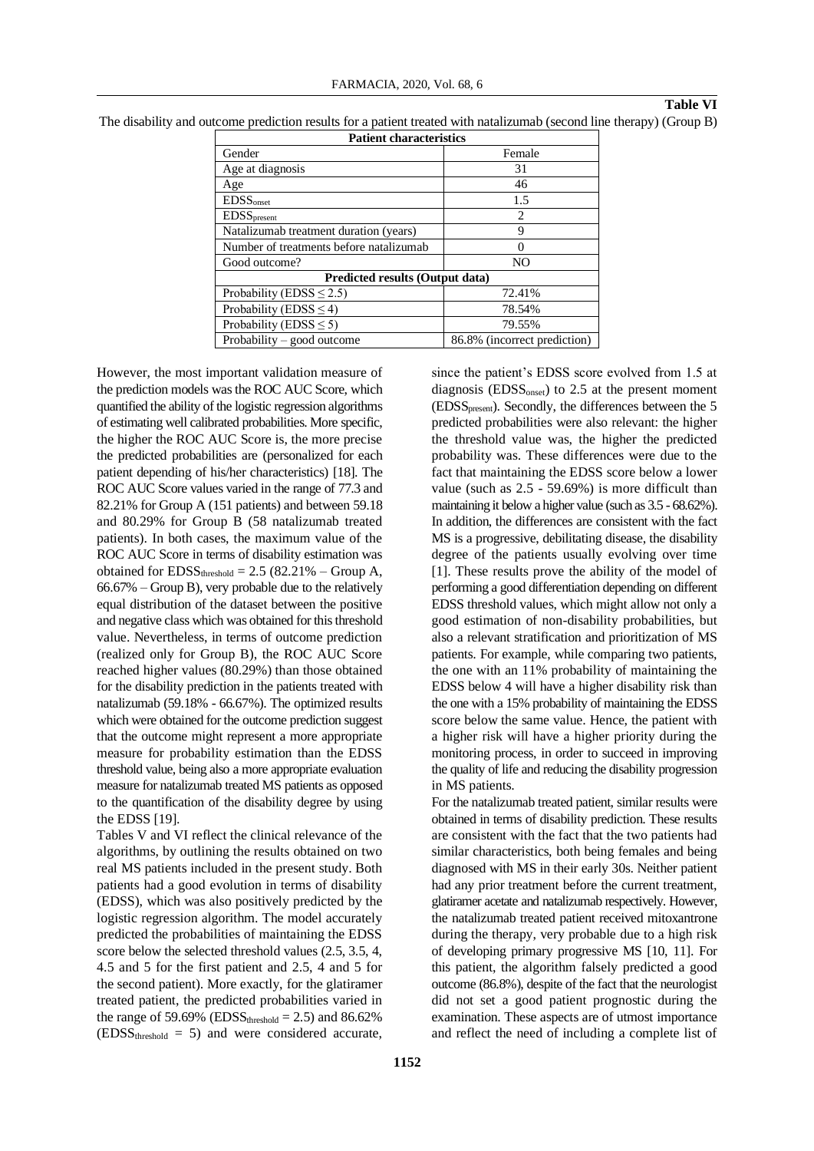#### **Table VI**

| The disability and outcome prediction results for a patient treated with natalizumab (second line therapy) (Group B) |  |  |  |  |  |  |  |  |  |  |  |
|----------------------------------------------------------------------------------------------------------------------|--|--|--|--|--|--|--|--|--|--|--|
|----------------------------------------------------------------------------------------------------------------------|--|--|--|--|--|--|--|--|--|--|--|

| <b>Patient characteristics</b>          |                              |  |  |  |  |
|-----------------------------------------|------------------------------|--|--|--|--|
| Gender                                  | Female                       |  |  |  |  |
| Age at diagnosis                        | 31                           |  |  |  |  |
| Age                                     | 46                           |  |  |  |  |
| <b>EDSS</b> <sub>onset</sub>            | 1.5                          |  |  |  |  |
| <b>EDSS</b> present                     | $\mathcal{L}$                |  |  |  |  |
| Natalizumab treatment duration (years)  | 9                            |  |  |  |  |
| Number of treatments before natalizumab | 0                            |  |  |  |  |
| Good outcome?                           | N <sub>O</sub>               |  |  |  |  |
| <b>Predicted results (Output data)</b>  |                              |  |  |  |  |
| Probability (EDSS $\leq$ 2.5)           | 72.41%                       |  |  |  |  |
| Probability (EDSS $\leq$ 4)             | 78.54%                       |  |  |  |  |
| Probability (EDSS $\leq$ 5)             | 79.55%                       |  |  |  |  |
| Probability – good outcome              | 86.8% (incorrect prediction) |  |  |  |  |
|                                         |                              |  |  |  |  |

However, the most important validation measure of the prediction models was the ROC AUC Score, which quantified the ability of the logistic regression algorithms of estimating well calibrated probabilities. More specific, the higher the ROC AUC Score is, the more precise the predicted probabilities are (personalized for each patient depending of his/her characteristics) [18]. The ROC AUC Score values varied in the range of 77.3 and 82.21% for Group A (151 patients) and between 59.18 and 80.29% for Group B (58 natalizumab treated patients). In both cases, the maximum value of the ROC AUC Score in terms of disability estimation was obtained for  $EDSS_{threshold} = 2.5 (82.21\% - Group A,$ 66.67% – Group B), very probable due to the relatively equal distribution of the dataset between the positive and negative class which was obtained for this threshold value. Nevertheless, in terms of outcome prediction (realized only for Group B), the ROC AUC Score reached higher values (80.29%) than those obtained for the disability prediction in the patients treated with natalizumab (59.18% - 66.67%). The optimized results which were obtained for the outcome prediction suggest that the outcome might represent a more appropriate measure for probability estimation than the EDSS threshold value, being also a more appropriate evaluation measure for natalizumab treated MS patients as opposed to the quantification of the disability degree by using the EDSS [19].

Tables V and VI reflect the clinical relevance of the algorithms, by outlining the results obtained on two real MS patients included in the present study. Both patients had a good evolution in terms of disability (EDSS), which was also positively predicted by the logistic regression algorithm. The model accurately predicted the probabilities of maintaining the EDSS score below the selected threshold values (2.5, 3.5, 4, 4.5 and 5 for the first patient and 2.5, 4 and 5 for the second patient). More exactly, for the glatiramer treated patient, the predicted probabilities varied in the range of 59.69% (EDSS<sub>threshold</sub>  $= 2.5$ ) and 86.62%  $(EDSS_{threshold} = 5)$  and were considered accurate,

since the patient's EDSS score evolved from 1.5 at diagnosis  $(EDSS<sub>onset</sub>)$  to 2.5 at the present moment (EDSSpresent). Secondly, the differences between the 5 predicted probabilities were also relevant: the higher the threshold value was, the higher the predicted probability was. These differences were due to the fact that maintaining the EDSS score below a lower value (such as 2.5 - 59.69%) is more difficult than maintaining it below a higher value (such as 3.5 - 68.62%). In addition, the differences are consistent with the fact MS is a progressive, debilitating disease, the disability degree of the patients usually evolving over time [1]. These results prove the ability of the model of performing a good differentiation depending on different EDSS threshold values, which might allow not only a good estimation of non-disability probabilities, but also a relevant stratification and prioritization of MS patients. For example, while comparing two patients, the one with an 11% probability of maintaining the EDSS below 4 will have a higher disability risk than the one with a 15% probability of maintaining the EDSS score below the same value. Hence, the patient with a higher risk will have a higher priority during the monitoring process, in order to succeed in improving the quality of life and reducing the disability progression in MS patients.

For the natalizumab treated patient, similar results were obtained in terms of disability prediction. These results are consistent with the fact that the two patients had similar characteristics, both being females and being diagnosed with MS in their early 30s. Neither patient had any prior treatment before the current treatment, glatiramer acetate and natalizumab respectively. However, the natalizumab treated patient received mitoxantrone during the therapy, very probable due to a high risk of developing primary progressive MS [10, 11]. For this patient, the algorithm falsely predicted a good outcome (86.8%), despite of the fact that the neurologist did not set a good patient prognostic during the examination. These aspects are of utmost importance and reflect the need of including a complete list of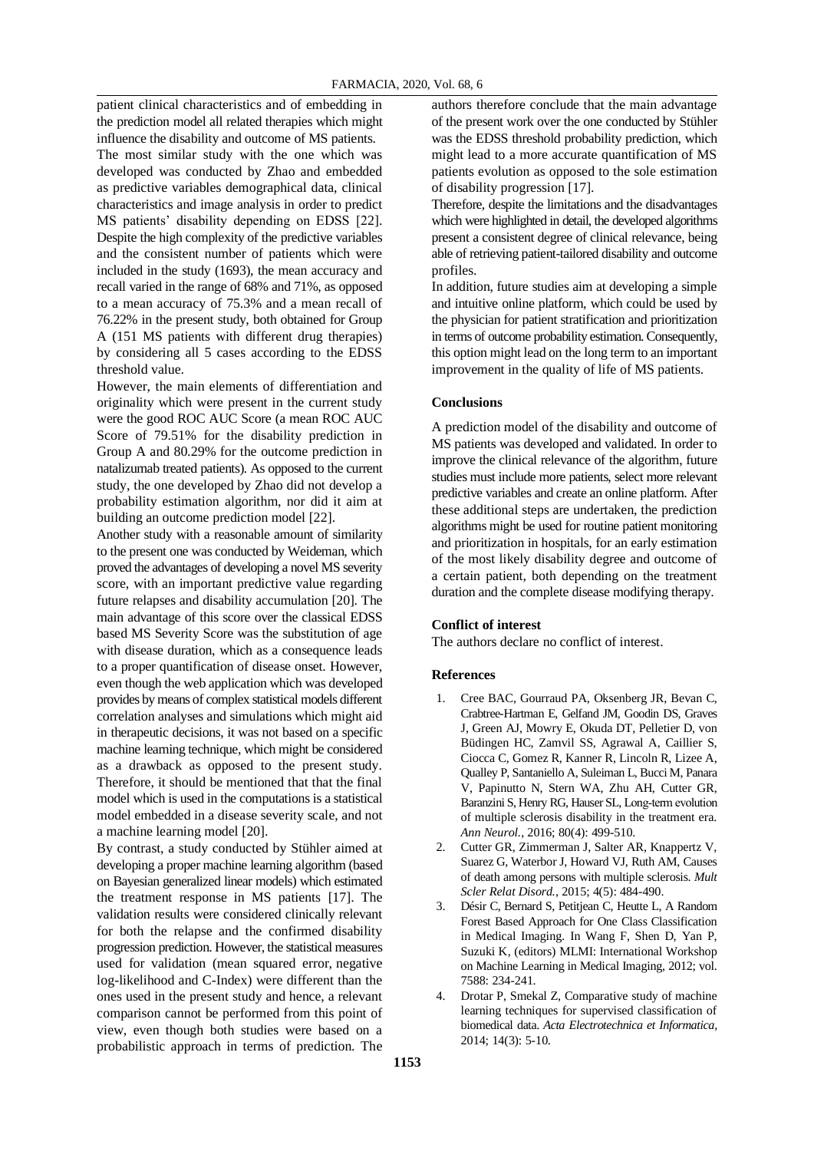patient clinical characteristics and of embedding in the prediction model all related therapies which might

influence the disability and outcome of MS patients. The most similar study with the one which was developed was conducted by Zhao and embedded as predictive variables demographical data, clinical characteristics and image analysis in order to predict MS patients' disability depending on EDSS [22]. Despite the high complexity of the predictive variables and the consistent number of patients which were included in the study (1693), the mean accuracy and recall varied in the range of 68% and 71%, as opposed to a mean accuracy of 75.3% and a mean recall of 76.22% in the present study, both obtained for Group A (151 MS patients with different drug therapies) by considering all 5 cases according to the EDSS threshold value.

However, the main elements of differentiation and originality which were present in the current study were the good ROC AUC Score (a mean ROC AUC Score of 79.51% for the disability prediction in Group A and 80.29% for the outcome prediction in natalizumab treated patients). As opposed to the current study, the one developed by Zhao did not develop a probability estimation algorithm, nor did it aim at building an outcome prediction model [22].

Another study with a reasonable amount of similarity to the present one was conducted by Weideman, which proved the advantages of developing a novel MS severity score, with an important predictive value regarding future relapses and disability accumulation [20]. The main advantage of this score over the classical EDSS based MS Severity Score was the substitution of age with disease duration, which as a consequence leads to a proper quantification of disease onset. However, even though the web application which was developed provides by means of complex statistical models different correlation analyses and simulations which might aid in therapeutic decisions, it was not based on a specific machine learning technique, which might be considered as a drawback as opposed to the present study. Therefore, it should be mentioned that that the final model which is used in the computations is a statistical model embedded in a disease severity scale, and not a machine learning model [20].

By contrast, a study conducted by Stühler aimed at developing a proper machine learning algorithm (based on Bayesian generalized linear models) which estimated the treatment response in MS patients [17]. The validation results were considered clinically relevant for both the relapse and the confirmed disability progression prediction. However, the statistical measures used for validation (mean squared error, negative log-likelihood and C-Index) were different than the ones used in the present study and hence, a relevant comparison cannot be performed from this point of view, even though both studies were based on a probabilistic approach in terms of prediction. The authors therefore conclude that the main advantage of the present work over the one conducted by Stühler was the EDSS threshold probability prediction, which might lead to a more accurate quantification of MS patients evolution as opposed to the sole estimation of disability progression [17].

Therefore, despite the limitations and the disadvantages which were highlighted in detail, the developed algorithms present a consistent degree of clinical relevance, being able of retrieving patient-tailored disability and outcome profiles.

In addition, future studies aim at developing a simple and intuitive online platform, which could be used by the physician for patient stratification and prioritization in terms of outcome probability estimation. Consequently, this option might lead on the long term to an important improvement in the quality of life of MS patients.

#### **Conclusions**

A prediction model of the disability and outcome of MS patients was developed and validated. In order to improve the clinical relevance of the algorithm, future studies must include more patients, select more relevant predictive variables and create an online platform. After these additional steps are undertaken, the prediction algorithms might be used for routine patient monitoring and prioritization in hospitals, for an early estimation of the most likely disability degree and outcome of a certain patient, both depending on the treatment duration and the complete disease modifying therapy.

#### **Conflict of interest**

The authors declare no conflict of interest.

#### **References**

- 1. Cree BAC, Gourraud PA, Oksenberg JR, Bevan C, Crabtree-Hartman E, Gelfand JM, Goodin DS, Graves J, Green AJ, Mowry E, Okuda DT, Pelletier D, von Büdingen HC, Zamvil SS, Agrawal A, Caillier S, Ciocca C, Gomez R, Kanner R, Lincoln R, Lizee A, Qualley P, Santaniello A, Suleiman L, Bucci M, Panara V, Papinutto N, Stern WA, Zhu AH, Cutter GR, Baranzini S, Henry RG, Hauser SL, Long‐term evolution of multiple sclerosis disability in the treatment era. *Ann Neurol.*, 2016; 80(4): 499-510.
- 2. Cutter GR, Zimmerman J, Salter AR, Knappertz V, Suarez G, Waterbor J, Howard VJ, Ruth AM, Causes of death among persons with multiple sclerosis. *Mult Scler Relat Disord.*, 2015; 4(5): 484-490.
- 3. Désir C, Bernard S, Petitjean C, Heutte L, A Random Forest Based Approach for One Class Classification in Medical Imaging. In Wang F, Shen D, Yan P, Suzuki K, (editors) MLMI: International Workshop on Machine Learning in Medical Imaging, 2012; vol. 7588: 234-241.
- 4. Drotar P, Smekal Z, Comparative study of machine learning techniques for supervised classification of biomedical data. *Acta Electrotechnica et Informatica*, 2014; 14(3): 5-10.